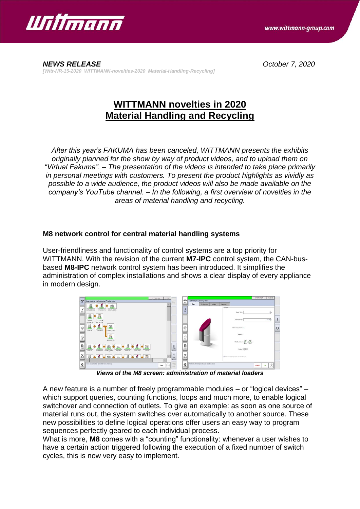

*NEWS RELEASE October 7, 2020 [Witt-NR-15-2020\_WITTMANN-novelties-2020\_Material-Handling-Recycling]*

## **WITTMANN novelties in 2020 Material Handling and Recycling**

*After this year's FAKUMA has been canceled, WITTMANN presents the exhibits originally planned for the show by way of product videos, and to upload them on "Virtual Fakuma". – The presentation of the videos is intended to take place primarily in personal meetings with customers. To present the product highlights as vividly as possible to a wide audience, the product videos will also be made available on the company's YouTube channel. – In the following, a first overview of novelties in the areas of material handling and recycling.*

## **M8 network control for central material handling systems**

User-friendliness and functionality of control systems are a top priority for WITTMANN. With the revision of the current **M7-IPC** control system, the CAN-busbased **M8-IPC** network control system has been introduced. It simplifies the administration of complex installations and shows a clear display of every appliance in modern design.



*Views of the M8 screen: administration of material loaders*

A new feature is a number of freely programmable modules – or "logical devices" – which support queries, counting functions, loops and much more, to enable logical switchover and connection of outlets. To give an example: as soon as one source of material runs out, the system switches over automatically to another source. These new possibilities to define logical operations offer users an easy way to program sequences perfectly geared to each individual process.

What is more, **M8** comes with a "counting" functionality: whenever a user wishes to have a certain action triggered following the execution of a fixed number of switch cycles, this is now very easy to implement.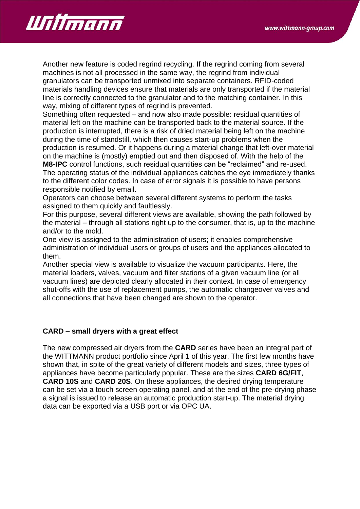

Another new feature is coded regrind recycling. If the regrind coming from several machines is not all processed in the same way, the regrind from individual granulators can be transported unmixed into separate containers. RFID-coded materials handling devices ensure that materials are only transported if the material line is correctly connected to the granulator and to the matching container. In this way, mixing of different types of regrind is prevented.

Something often requested – and now also made possible: residual quantities of material left on the machine can be transported back to the material source. If the production is interrupted, there is a risk of dried material being left on the machine during the time of standstill, which then causes start-up problems when the production is resumed. Or it happens during a material change that left-over material on the machine is (mostly) emptied out and then disposed of. With the help of the **M8-IPC** control functions, such residual quantities can be "reclaimed" and re-used.

The operating status of the individual appliances catches the eye immediately thanks to the different color codes. In case of error signals it is possible to have persons responsible notified by email.

Operators can choose between several different systems to perform the tasks assigned to them quickly and faultlessly.

For this purpose, several different views are available, showing the path followed by the material – through all stations right up to the consumer, that is, up to the machine and/or to the mold.

One view is assigned to the administration of users; it enables comprehensive administration of individual users or groups of users and the appliances allocated to them.

Another special view is available to visualize the vacuum participants. Here, the material loaders, valves, vacuum and filter stations of a given vacuum line (or all vacuum lines) are depicted clearly allocated in their context. In case of emergency shut-offs with the use of replacement pumps, the automatic changeover valves and all connections that have been changed are shown to the operator.

## **CARD – small dryers with a great effect**

The new compressed air dryers from the **CARD** series have been an integral part of the WITTMANN product portfolio since April 1 of this year. The first few months have shown that, in spite of the great variety of different models and sizes, three types of appliances have become particularly popular. These are the sizes **CARD 6G/FIT**, **CARD 10S** and **CARD 20S**. On these appliances, the desired drying temperature can be set via a touch screen operating panel, and at the end of the pre-drying phase a signal is issued to release an automatic production start-up. The material drying data can be exported via a USB port or via OPC UA.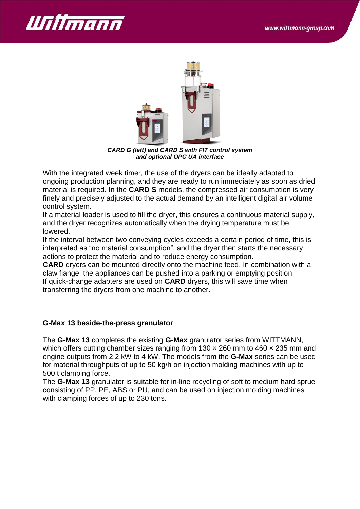



*CARD G (left) and CARD S with FIT control system and optional OPC UA interface*

With the integrated week timer, the use of the dryers can be ideally adapted to ongoing production planning, and they are ready to run immediately as soon as dried material is required. In the **CARD S** models, the compressed air consumption is very finely and precisely adjusted to the actual demand by an intelligent digital air volume control system.

If a material loader is used to fill the dryer, this ensures a continuous material supply, and the dryer recognizes automatically when the drying temperature must be lowered.

If the interval between two conveying cycles exceeds a certain period of time, this is interpreted as "no material consumption", and the dryer then starts the necessary actions to protect the material and to reduce energy consumption.

**CARD** dryers can be mounted directly onto the machine feed. In combination with a claw flange, the appliances can be pushed into a parking or emptying position. If quick-change adapters are used on **CARD** dryers, this will save time when transferring the dryers from one machine to another.

## **G-Max 13 beside-the-press granulator**

The **G-Max 13** completes the existing **G-Max** granulator series from WITTMANN, which offers cutting chamber sizes ranging from  $130 \times 260$  mm to  $460 \times 235$  mm and engine outputs from 2.2 kW to 4 kW. The models from the **G-Max** series can be used for material throughputs of up to 50 kg/h on injection molding machines with up to 500 t clamping force.

The **G-Max 13** granulator is suitable for in-line recycling of soft to medium hard sprue consisting of PP, PE, ABS or PU, and can be used on injection molding machines with clamping forces of up to 230 tons.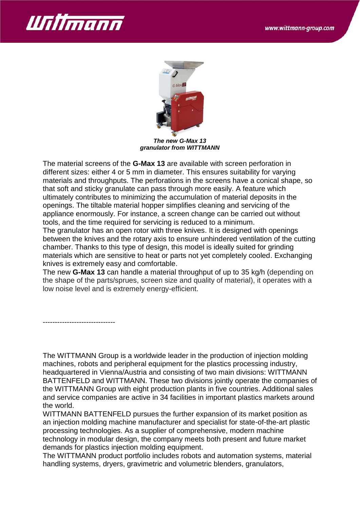



*The new G-Max 13 granulator from WITTMANN*

The material screens of the **G-Max 13** are available with screen perforation in different sizes: either 4 or 5 mm in diameter. This ensures suitability for varying materials and throughputs. The perforations in the screens have a conical shape, so that soft and sticky granulate can pass through more easily. A feature which ultimately contributes to minimizing the accumulation of material deposits in the openings. The tiltable material hopper simplifies cleaning and servicing of the appliance enormously. For instance, a screen change can be carried out without tools, and the time required for servicing is reduced to a minimum.

The granulator has an open rotor with three knives. It is designed with openings between the knives and the rotary axis to ensure unhindered ventilation of the cutting chamber. Thanks to this type of design, this model is ideally suited for grinding materials which are sensitive to heat or parts not yet completely cooled. Exchanging knives is extremely easy and comfortable.

The new **G-Max 13** can handle a material throughput of up to 35 kg/h (depending on the shape of the parts/sprues, screen size and quality of material), it operates with a low noise level and is extremely energy-efficient.

------------------------------

The WITTMANN Group is a worldwide leader in the production of injection molding machines, robots and peripheral equipment for the plastics processing industry, headquartered in Vienna/Austria and consisting of two main divisions: WITTMANN BATTENFELD and WITTMANN. These two divisions jointly operate the companies of the WITTMANN Group with eight production plants in five countries. Additional sales and service companies are active in 34 facilities in important plastics markets around the world.

WITTMANN BATTENFELD pursues the further expansion of its market position as an injection molding machine manufacturer and specialist for state-of-the-art plastic processing technologies. As a supplier of comprehensive, modern machine technology in modular design, the company meets both present and future market demands for plastics injection molding equipment.

The WITTMANN product portfolio includes robots and automation systems, material handling systems, dryers, gravimetric and volumetric blenders, granulators,